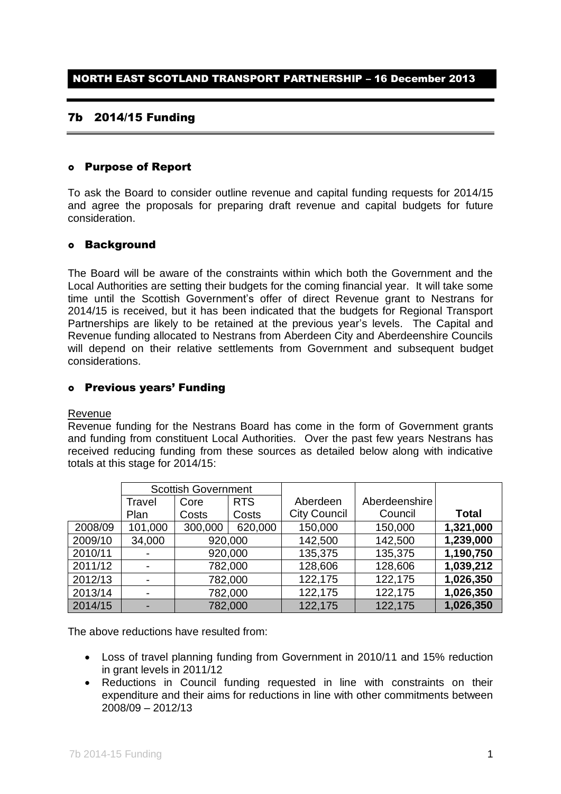## 7b 2014/15 Funding

#### Purpose of Report

To ask the Board to consider outline revenue and capital funding requests for 2014/15 and agree the proposals for preparing draft revenue and capital budgets for future consideration.

### Background

The Board will be aware of the constraints within which both the Government and the Local Authorities are setting their budgets for the coming financial year. It will take some time until the Scottish Government's offer of direct Revenue grant to Nestrans for 2014/15 is received, but it has been indicated that the budgets for Regional Transport Partnerships are likely to be retained at the previous year's levels.The Capital and Revenue funding allocated to Nestrans from Aberdeen City and Aberdeenshire Councils will depend on their relative settlements from Government and subsequent budget considerations.

### Previous years' Funding

#### Revenue

Revenue funding for the Nestrans Board has come in the form of Government grants and funding from constituent Local Authorities. Over the past few years Nestrans has received reducing funding from these sources as detailed below along with indicative totals at this stage for 2014/15:

|         | <b>Scottish Government</b> |         |            |                     |               |              |
|---------|----------------------------|---------|------------|---------------------|---------------|--------------|
|         | Travel                     | Core    | <b>RTS</b> | Aberdeen            | Aberdeenshire |              |
|         | Plan                       | Costs   | Costs      | <b>City Council</b> | Council       | <b>Total</b> |
| 2008/09 | 101,000                    | 300,000 | 620,000    | 150,000             | 150,000       | 1,321,000    |
| 2009/10 | 34,000                     | 920,000 |            | 142,500             | 142,500       | 1,239,000    |
| 2010/11 |                            | 920,000 |            | 135,375             | 135,375       | 1,190,750    |
| 2011/12 |                            |         | 782,000    | 128,606             | 128,606       | 1,039,212    |
| 2012/13 |                            | 782,000 |            | 122,175             | 122,175       | 1,026,350    |
| 2013/14 |                            | 782,000 |            | 122,175             | 122,175       | 1,026,350    |
| 2014/15 |                            |         | 782,000    | 122,175             | 122,175       | 1,026,350    |

The above reductions have resulted from:

- Loss of travel planning funding from Government in 2010/11 and 15% reduction in grant levels in 2011/12
- Reductions in Council funding requested in line with constraints on their expenditure and their aims for reductions in line with other commitments between 2008/09 – 2012/13